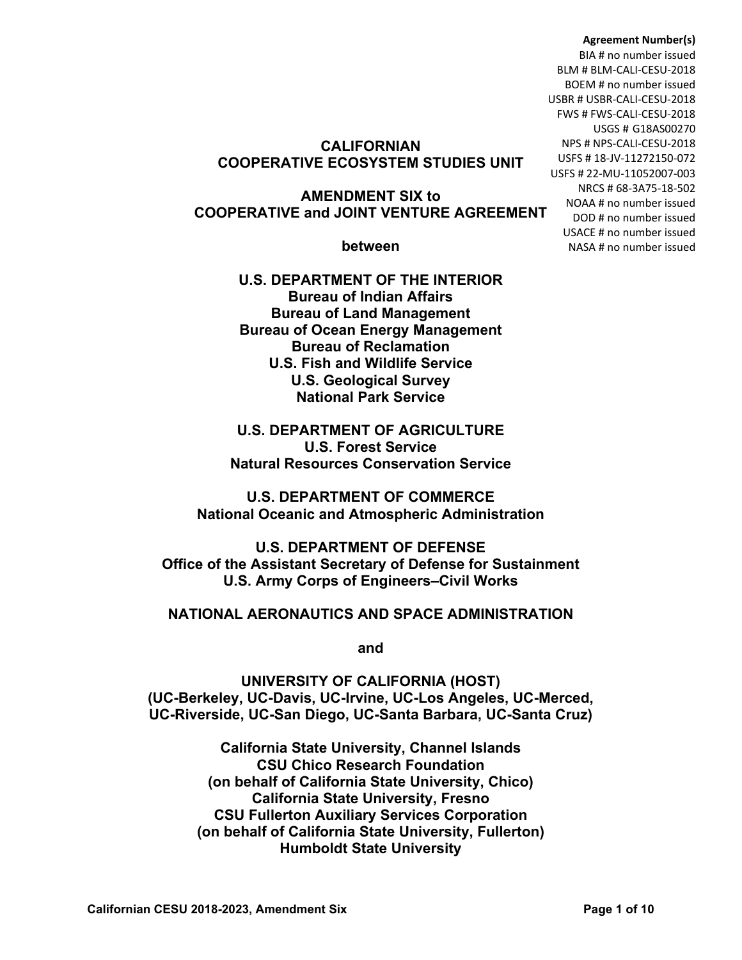#### **Agreement Number(s)**

BIA # no number issued BLM # BLM-CALI-CESU-2018 BOEM # no number issued USBR # USBR-CALI-CESU-2018 FWS # FWS-CALI-CESU-2018 USGS # G18AS00270 NPS # NPS-CALI-CESU-2018 USFS # 18-JV-11272150-072 USFS # 22-MU-11052007-003 NRCS # 68-3A75-18-502 NOAA # no number issued DOD # no number issued USACE # no number issued NASA # no number issued

# **CALIFORNIAN COOPERATIVE ECOSYSTEM STUDIES UNIT**

#### **AMENDMENT SIX to COOPERATIVE and JOINT VENTURE AGREEMENT**

#### **between**

**U.S. DEPARTMENT OF THE INTERIOR Bureau of Indian Affairs Bureau of Land Management Bureau of Ocean Energy Management Bureau of Reclamation U.S. Fish and Wildlife Service U.S. Geological Survey National Park Service**

**U.S. DEPARTMENT OF AGRICULTURE U.S. Forest Service Natural Resources Conservation Service**

**U.S. DEPARTMENT OF COMMERCE National Oceanic and Atmospheric Administration**

**U.S. DEPARTMENT OF DEFENSE Office of the Assistant Secretary of Defense for Sustainment U.S. Army Corps of Engineers–Civil Works**

### **NATIONAL AERONAUTICS AND SPACE ADMINISTRATION**

**and**

**UNIVERSITY OF CALIFORNIA (HOST) (UC-Berkeley, UC-Davis, UC-Irvine, UC-Los Angeles, UC-Merced, UC-Riverside, UC-San Diego, UC-Santa Barbara, UC-Santa Cruz)**

> **California State University, Channel Islands CSU Chico Research Foundation (on behalf of California State University, Chico) California State University, Fresno CSU Fullerton Auxiliary Services Corporation (on behalf of California State University, Fullerton) Humboldt State University**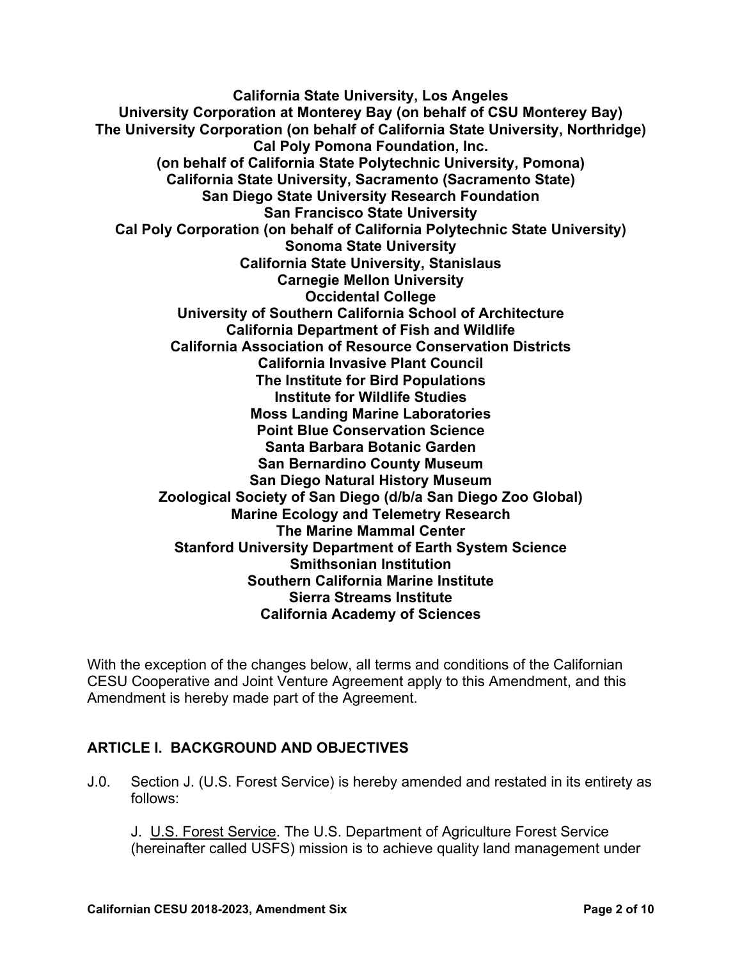**California State University, Los Angeles University Corporation at Monterey Bay (on behalf of CSU Monterey Bay) The University Corporation (on behalf of California State University, Northridge) Cal Poly Pomona Foundation, Inc. (on behalf of California State Polytechnic University, Pomona) California State University, Sacramento (Sacramento State) San Diego State University Research Foundation San Francisco State University Cal Poly Corporation (on behalf of California Polytechnic State University) Sonoma State University California State University, Stanislaus Carnegie Mellon University Occidental College University of Southern California School of Architecture California Department of Fish and Wildlife California Association of Resource Conservation Districts California Invasive Plant Council The Institute for Bird Populations Institute for Wildlife Studies Moss Landing Marine Laboratories Point Blue Conservation Science Santa Barbara Botanic Garden San Bernardino County Museum San Diego Natural History Museum Zoological Society of San Diego (d/b/a San Diego Zoo Global) Marine Ecology and Telemetry Research The Marine Mammal Center Stanford University Department of Earth System Science Smithsonian Institution Southern California Marine Institute Sierra Streams Institute California Academy of Sciences**

With the exception of the changes below, all terms and conditions of the Californian CESU Cooperative and Joint Venture Agreement apply to this Amendment, and this Amendment is hereby made part of the Agreement.

# **ARTICLE I. BACKGROUND AND OBJECTIVES**

J.0. Section J. (U.S. Forest Service) is hereby amended and restated in its entirety as follows:

J. U.S. Forest Service. The U.S. Department of Agriculture Forest Service (hereinafter called USFS) mission is to achieve quality land management under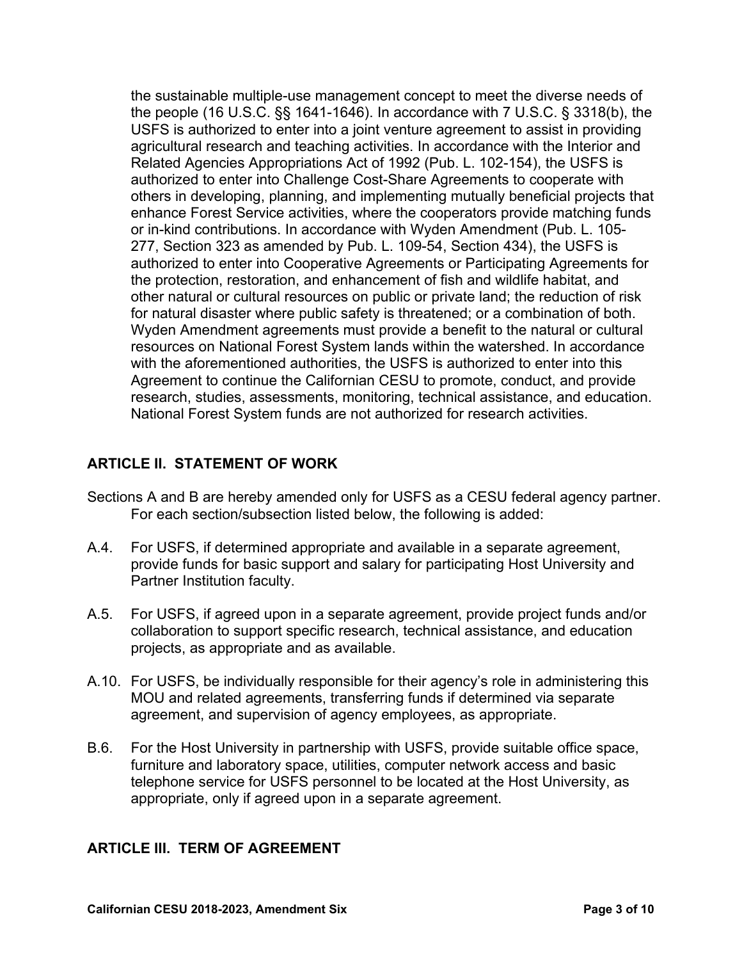the sustainable multiple-use management concept to meet the diverse needs of the people (16 U.S.C. §§ 1641-1646). In accordance with 7 U.S.C. § 3318(b), the USFS is authorized to enter into a joint venture agreement to assist in providing agricultural research and teaching activities. In accordance with the Interior and Related Agencies Appropriations Act of 1992 (Pub. L. 102-154), the USFS is authorized to enter into Challenge Cost-Share Agreements to cooperate with others in developing, planning, and implementing mutually beneficial projects that enhance Forest Service activities, where the cooperators provide matching funds or in-kind contributions. In accordance with Wyden Amendment (Pub. L. 105- 277, Section 323 as amended by Pub. L. 109-54, Section 434), the USFS is authorized to enter into Cooperative Agreements or Participating Agreements for the protection, restoration, and enhancement of fish and wildlife habitat, and other natural or cultural resources on public or private land; the reduction of risk for natural disaster where public safety is threatened; or a combination of both. Wyden Amendment agreements must provide a benefit to the natural or cultural resources on National Forest System lands within the watershed. In accordance with the aforementioned authorities, the USFS is authorized to enter into this Agreement to continue the Californian CESU to promote, conduct, and provide research, studies, assessments, monitoring, technical assistance, and education. National Forest System funds are not authorized for research activities.

# **ARTICLE II. STATEMENT OF WORK**

- Sections A and B are hereby amended only for USFS as a CESU federal agency partner. For each section/subsection listed below, the following is added:
- A.4. For USFS, if determined appropriate and available in a separate agreement, provide funds for basic support and salary for participating Host University and Partner Institution faculty.
- A.5. For USFS, if agreed upon in a separate agreement, provide project funds and/or collaboration to support specific research, technical assistance, and education projects, as appropriate and as available.
- A.10. For USFS, be individually responsible for their agency's role in administering this MOU and related agreements, transferring funds if determined via separate agreement, and supervision of agency employees, as appropriate.
- B.6. For the Host University in partnership with USFS, provide suitable office space, furniture and laboratory space, utilities, computer network access and basic telephone service for USFS personnel to be located at the Host University, as appropriate, only if agreed upon in a separate agreement.

# **ARTICLE III. TERM OF AGREEMENT**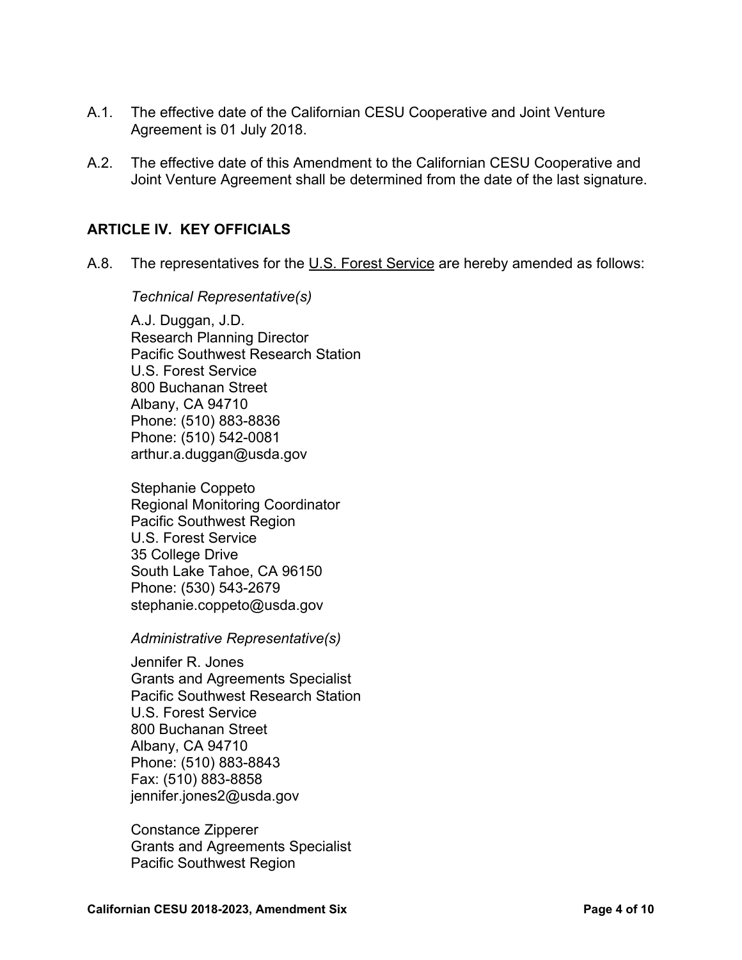- A.1. The effective date of the Californian CESU Cooperative and Joint Venture Agreement is 01 July 2018.
- A.2. The effective date of this Amendment to the Californian CESU Cooperative and Joint Venture Agreement shall be determined from the date of the last signature.

### **ARTICLE IV. KEY OFFICIALS**

A.8. The representatives for the U.S. Forest Service are hereby amended as follows:

*Technical Representative(s)*

A.J. Duggan, J.D. Research Planning Director Pacific Southwest Research Station U.S. Forest Service 800 Buchanan Street Albany, CA 94710 Phone: (510) 883-8836 Phone: (510) 542-0081 [arthur.a.duggan@usda.gov](mailto:arthur.a.duggan@usda.gov)

Stephanie Coppeto Regional Monitoring Coordinator Pacific Southwest Region U.S. Forest Service 35 College Drive South Lake Tahoe, CA 96150 Phone: (530) 543-2679 [stephanie.coppeto@usda.gov](mailto:stephanie.coppeto@usda.gov)

*Administrative Representative(s)*

Jennifer R. Jones Grants and Agreements Specialist Pacific Southwest Research Station U.S. Forest Service 800 Buchanan Street Albany, CA 94710 Phone: (510) 883-8843 Fax: (510) 883-8858 [jennifer.jones2@usda.gov](mailto:jennifer.jones2@usda.gov)

Constance Zipperer Grants and Agreements Specialist Pacific Southwest Region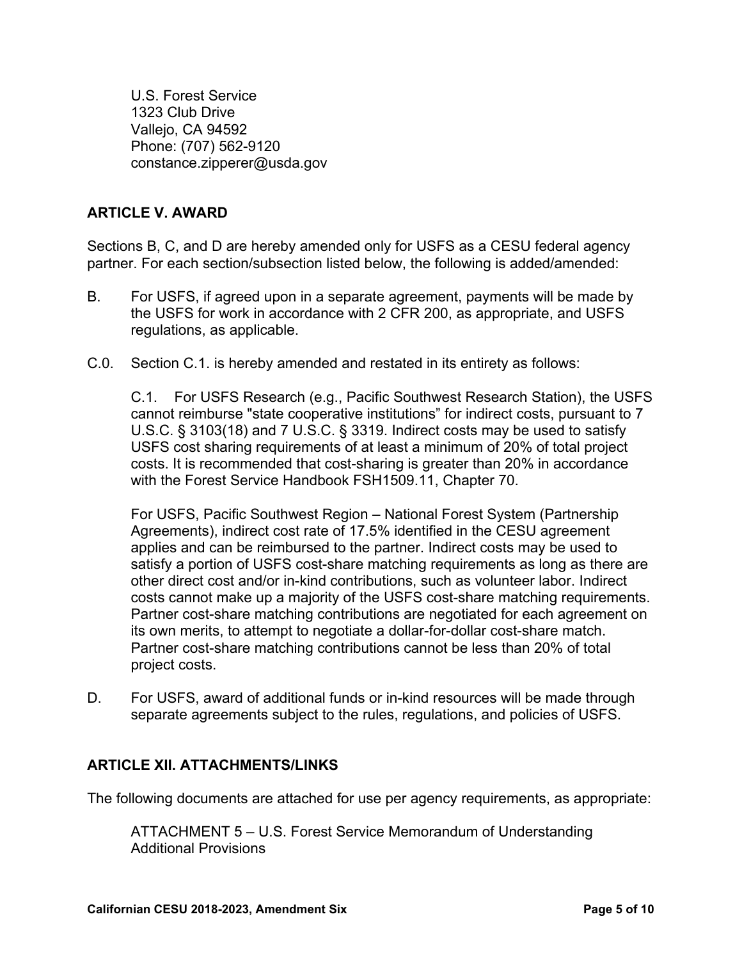U.S. Forest Service 1323 Club Drive Vallejo, CA 94592 Phone: (707) 562-9120 [constance.zipperer@usda.gov](mailto:constance.zipperer@usda.gov)

# **ARTICLE V. AWARD**

Sections B, C, and D are hereby amended only for USFS as a CESU federal agency partner. For each section/subsection listed below, the following is added/amended:

- B. For USFS, if agreed upon in a separate agreement, payments will be made by the USFS for work in accordance with 2 CFR 200, as appropriate, and USFS regulations, as applicable.
- C.0. Section C.1. is hereby amended and restated in its entirety as follows:

C.1. For USFS Research (e.g., Pacific Southwest Research Station), the USFS cannot reimburse "state cooperative institutions" for indirect costs, pursuant to 7 U.S.C. § 3103(18) and 7 U.S.C. § 3319. Indirect costs may be used to satisfy USFS cost sharing requirements of at least a minimum of 20% of total project costs. It is recommended that cost-sharing is greater than 20% in accordance with the Forest Service Handbook FSH1509.11, Chapter 70.

For USFS, Pacific Southwest Region – National Forest System (Partnership Agreements), indirect cost rate of 17.5% identified in the CESU agreement applies and can be reimbursed to the partner. Indirect costs may be used to satisfy a portion of USFS cost-share matching requirements as long as there are other direct cost and/or in-kind contributions, such as volunteer labor. Indirect costs cannot make up a majority of the USFS cost-share matching requirements. Partner cost-share matching contributions are negotiated for each agreement on its own merits, to attempt to negotiate a dollar-for-dollar cost-share match. Partner cost-share matching contributions cannot be less than 20% of total project costs.

D. For USFS, award of additional funds or in-kind resources will be made through separate agreements subject to the rules, regulations, and policies of USFS.

### **ARTICLE XII. ATTACHMENTS/LINKS**

The following documents are attached for use per agency requirements, as appropriate:

ATTACHMENT 5 – U.S. Forest Service Memorandum of Understanding Additional Provisions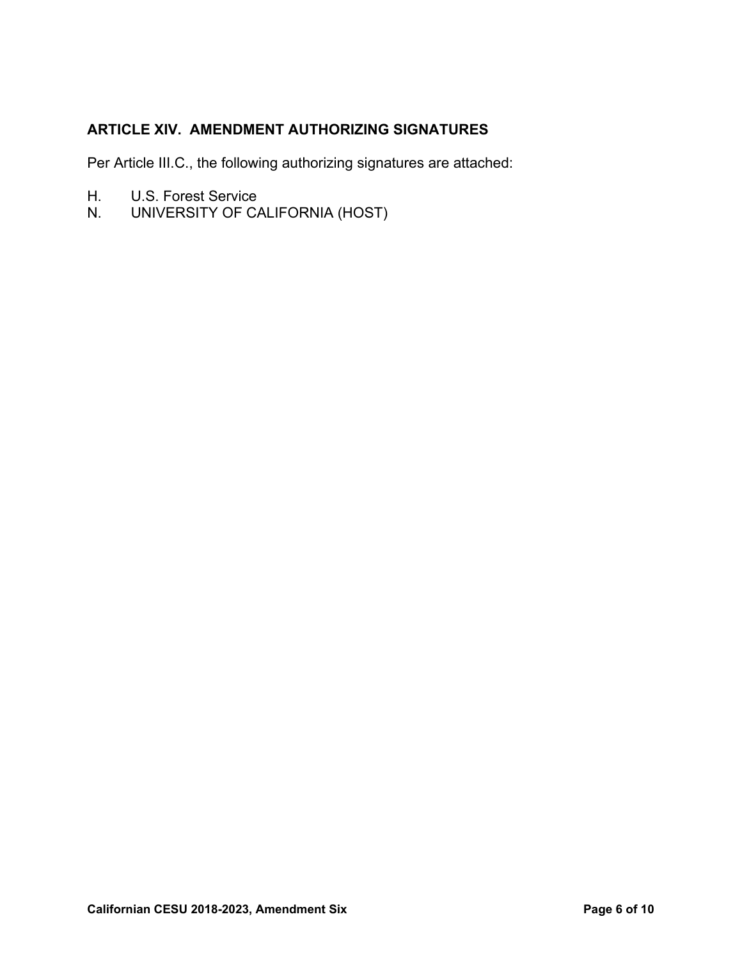# **ARTICLE XIV. AMENDMENT AUTHORIZING SIGNATURES**

Per Article III.C., the following authorizing signatures are attached:

- H. U.S. Forest Service
- N. UNIVERSITY OF CALIFORNIA (HOST)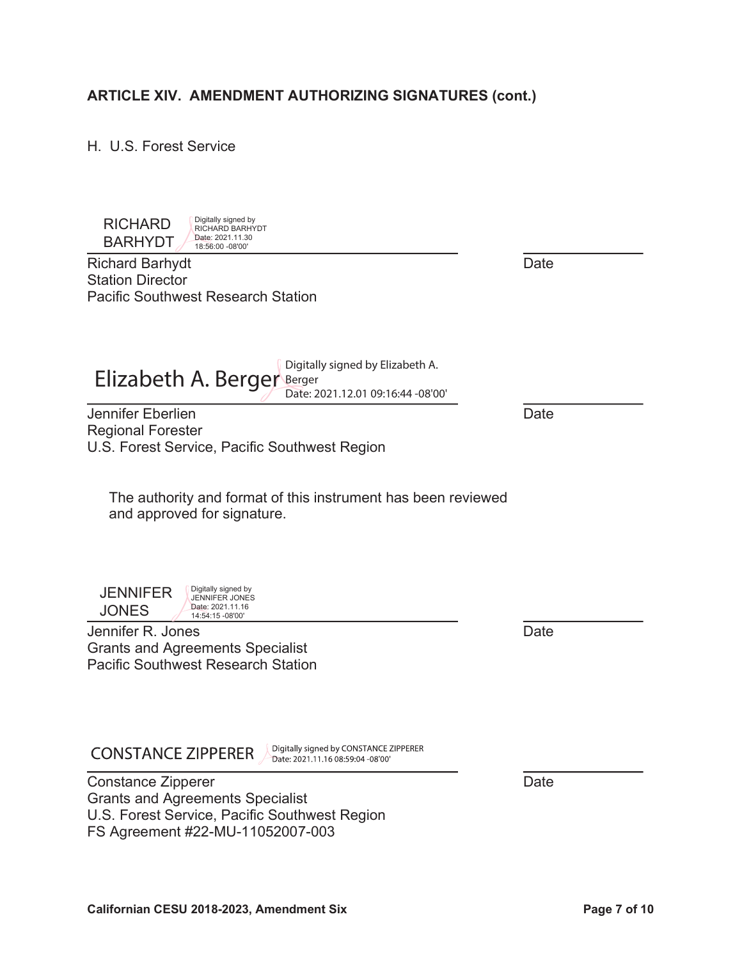#### $\overline{\phantom{a}}$ Constance Zipperer **Date**

Grants and Agreements Specialist U.S. Forest Service, Pacific Southwest Region FS Agreement #22-MU-11052007-003

Digitally signed by CONSTANCE ZIPPERER Date: 2021.11.16 08:59:04 -08'00'

Jennifer Eberlien Date

Digitally signed by RICHARD BARHYDT Date: 2021.11.30

Pacific Southwest Research Station

ARTICLE XIV. AMENDMENT AUTHORIZING SIGNATURES (cont.)

 BARHYDT Richard Barhydt **Date** RICHARD 18:56:00 -08'00'

H. U.S. Forest Service

Station Director

 $\overline{a}$ 

Regional Forester

**JONES JENNIFER** 

JENNIFER JONES Date: 2021.11.16 14:54:15 -08'00'

Digitally signed by

U.S. Forest Service, Pacific Southwest Region

Elizabeth A. Berger Berger<br>
Elizabeth A. Berger<br>
Serger 2004 10 2016 11 2010

The authority and format of this instrument has been reviewed

Date: 2021.12.01 09:16:44 -08'00'

Jennifer R. Jones **Date** Grants and Agreements Specialist Pacific Southwest Research Station

and approved for signature.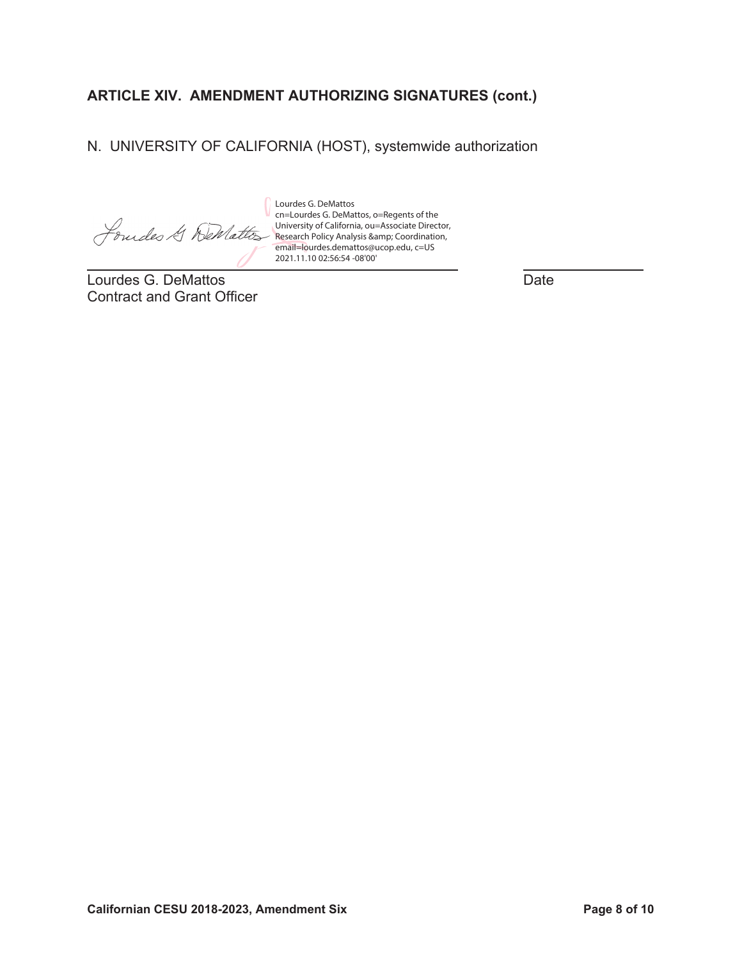# **ARTICLE XIV. AMENDMENT AUTHORIZING SIGNATURES (cont.)**

N. UNIVERSITY OF CALIFORNIA (HOST), systemwide authorization

Jourdes & Wellattos

 $\overline{a}$ Lourdes G. DeMattos **Date** Contract and Grant Officer

Lourdes G. DeMattos cn=Lourdes G. DeMattos, o=Regents of the University of California, ou=Associate Director, Research Policy Analysis & amp; Coordination, email=lourdes.demattos@ucop.edu, c=US 2021.11.10 02:56:54 -08'00'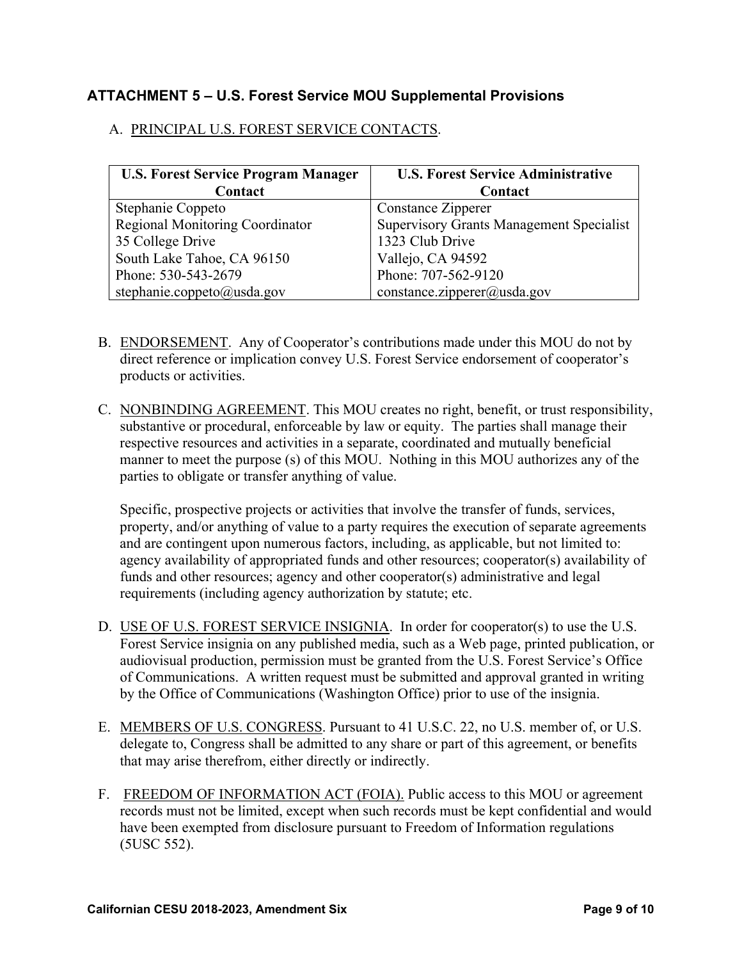# **ATTACHMENT 5 – U.S. Forest Service MOU Supplemental Provisions**

### A. PRINCIPAL U.S. FOREST SERVICE CONTACTS.

| <b>U.S. Forest Service Program Manager</b> | <b>U.S. Forest Service Administrative</b>       |
|--------------------------------------------|-------------------------------------------------|
| Contact                                    | Contact                                         |
| Stephanie Coppeto                          | Constance Zipperer                              |
| <b>Regional Monitoring Coordinator</b>     | <b>Supervisory Grants Management Specialist</b> |
| 35 College Drive                           | 1323 Club Drive                                 |
| South Lake Tahoe, CA 96150                 | Vallejo, CA 94592                               |
| Phone: 530-543-2679                        | Phone: 707-562-9120                             |
| stephanie.coppeto@usda.gov                 | constance.zipperer@usda.gov                     |

- B. ENDORSEMENT. Any of Cooperator's contributions made under this MOU do not by direct reference or implication convey U.S. Forest Service endorsement of cooperator's products or activities.
- C. NONBINDING AGREEMENT. This MOU creates no right, benefit, or trust responsibility, substantive or procedural, enforceable by law or equity. The parties shall manage their respective resources and activities in a separate, coordinated and mutually beneficial manner to meet the purpose (s) of this MOU. Nothing in this MOU authorizes any of the parties to obligate or transfer anything of value.

Specific, prospective projects or activities that involve the transfer of funds, services, property, and/or anything of value to a party requires the execution of separate agreements and are contingent upon numerous factors, including, as applicable, but not limited to: agency availability of appropriated funds and other resources; cooperator(s) availability of funds and other resources; agency and other cooperator(s) administrative and legal requirements (including agency authorization by statute; etc.

- D. USE OF U.S. FOREST SERVICE INSIGNIA. In order for cooperator(s) to use the U.S. Forest Service insignia on any published media, such as a Web page, printed publication, or audiovisual production, permission must be granted from the U.S. Forest Service's Office of Communications. A written request must be submitted and approval granted in writing by the Office of Communications (Washington Office) prior to use of the insignia.
- E. MEMBERS OF U.S. CONGRESS. Pursuant to 41 U.S.C. 22, no U.S. member of, or U.S. delegate to, Congress shall be admitted to any share or part of this agreement, or benefits that may arise therefrom, either directly or indirectly.
- F. FREEDOM OF INFORMATION ACT (FOIA). Public access to this MOU or agreement records must not be limited, except when such records must be kept confidential and would have been exempted from disclosure pursuant to Freedom of Information regulations (5USC 552).